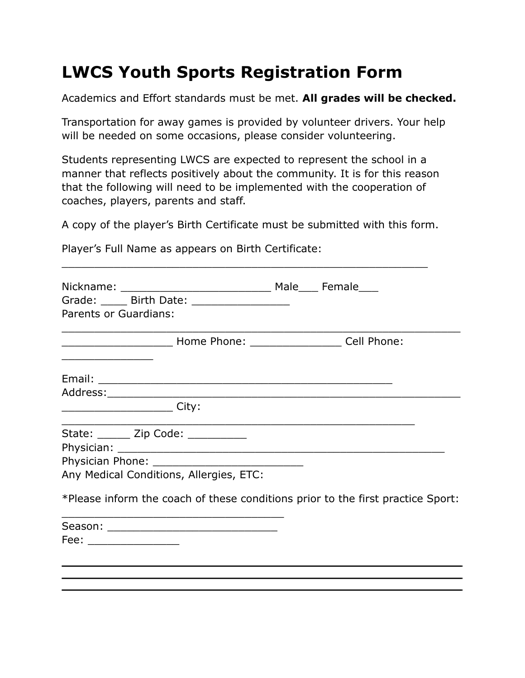# **LWCS Youth Sports Registration Form**

Academics and Effort standards must be met. **All grades will be checked.**

Transportation for away games is provided by volunteer drivers. Your help will be needed on some occasions, please consider volunteering.

Students representing LWCS are expected to represent the school in a manner that reflects positively about the community. It is for this reason that the following will need to be implemented with the cooperation of coaches, players, parents and staff.

A copy of the player's Birth Certificate must be submitted with this form.

\_\_\_\_\_\_\_\_\_\_\_\_\_\_\_\_\_\_\_\_\_\_\_\_\_\_\_\_\_\_\_\_\_\_\_\_\_\_\_\_\_\_\_\_\_\_\_\_\_\_\_\_\_\_\_\_

Player's Full Name as appears on Birth Certificate:

|                                                                                 | Grade: _____ Birth Date: ________________ |  |  |
|---------------------------------------------------------------------------------|-------------------------------------------|--|--|
| Parents or Guardians:                                                           |                                           |  |  |
|                                                                                 |                                           |  |  |
|                                                                                 |                                           |  |  |
|                                                                                 |                                           |  |  |
|                                                                                 |                                           |  |  |
|                                                                                 | State: ______ Zip Code: _________         |  |  |
|                                                                                 |                                           |  |  |
|                                                                                 |                                           |  |  |
|                                                                                 | Any Medical Conditions, Allergies, ETC:   |  |  |
| *Please inform the coach of these conditions prior to the first practice Sport: |                                           |  |  |
|                                                                                 |                                           |  |  |
| Fee: _________________                                                          |                                           |  |  |
|                                                                                 |                                           |  |  |
|                                                                                 |                                           |  |  |
|                                                                                 |                                           |  |  |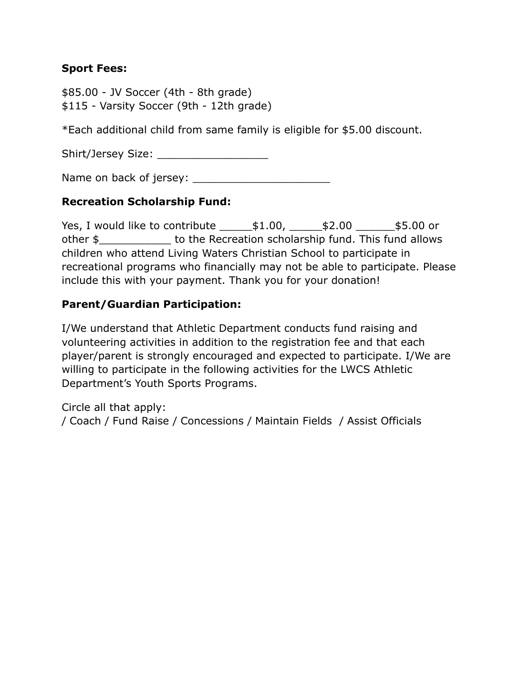### **Sport Fees:**

\$85.00 - JV Soccer (4th - 8th grade) \$115 - Varsity Soccer (9th - 12th grade)

\*Each additional child from same family is eligible for \$5.00 discount.

Shirt/Jersey Size:

Name on back of jersey: \_\_\_\_\_\_\_\_\_\_\_\_\_\_\_\_\_\_\_\_\_

### **Recreation Scholarship Fund:**

Yes, I would like to contribute  $\qquad$  \$1.00,  $\qquad$  \$2.00  $\qquad$  \$5.00 or other \$\_\_\_\_\_\_\_\_\_\_\_ to the Recreation scholarship fund. This fund allows children who attend Living Waters Christian School to participate in recreational programs who financially may not be able to participate. Please include this with your payment. Thank you for your donation!

### **Parent/Guardian Participation:**

I/We understand that Athletic Department conducts fund raising and volunteering activities in addition to the registration fee and that each player/parent is strongly encouraged and expected to participate. I/We are willing to participate in the following activities for the LWCS Athletic Department's Youth Sports Programs.

Circle all that apply: / Coach / Fund Raise / Concessions / Maintain Fields / Assist Officials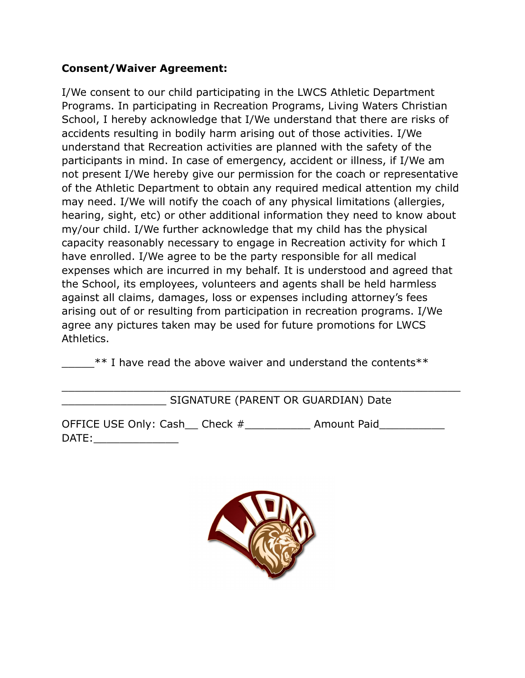## **Consent/Waiver Agreement:**

I/We consent to our child participating in the LWCS Athletic Department Programs. In participating in Recreation Programs, Living Waters Christian School, I hereby acknowledge that I/We understand that there are risks of accidents resulting in bodily harm arising out of those activities. I/We understand that Recreation activities are planned with the safety of the participants in mind. In case of emergency, accident or illness, if I/We am not present I/We hereby give our permission for the coach or representative of the Athletic Department to obtain any required medical attention my child may need. I/We will notify the coach of any physical limitations (allergies, hearing, sight, etc) or other additional information they need to know about my/our child. I/We further acknowledge that my child has the physical capacity reasonably necessary to engage in Recreation activity for which I have enrolled. I/We agree to be the party responsible for all medical expenses which are incurred in my behalf. It is understood and agreed that the School, its employees, volunteers and agents shall be held harmless against all claims, damages, loss or expenses including attorney's fees arising out of or resulting from participation in recreation programs. I/We agree any pictures taken may be used for future promotions for LWCS Athletics.

\*\* I have read the above waiver and understand the contents\*\*

\_\_\_\_\_\_\_\_\_\_\_\_\_\_\_\_\_\_\_\_\_\_\_\_\_\_\_\_\_\_\_\_\_\_\_\_\_\_\_\_\_\_\_\_\_\_\_\_\_\_\_\_\_\_\_\_\_\_\_\_\_

## SIGNATURE (PARENT OR GUARDIAN) Date

OFFICE USE Only: Cash\_\_ Check  $\#$  \_\_\_\_\_\_\_\_\_\_\_\_ Amount Paid\_\_\_\_\_\_\_\_\_\_\_\_\_\_\_\_\_\_\_\_\_ DATE: